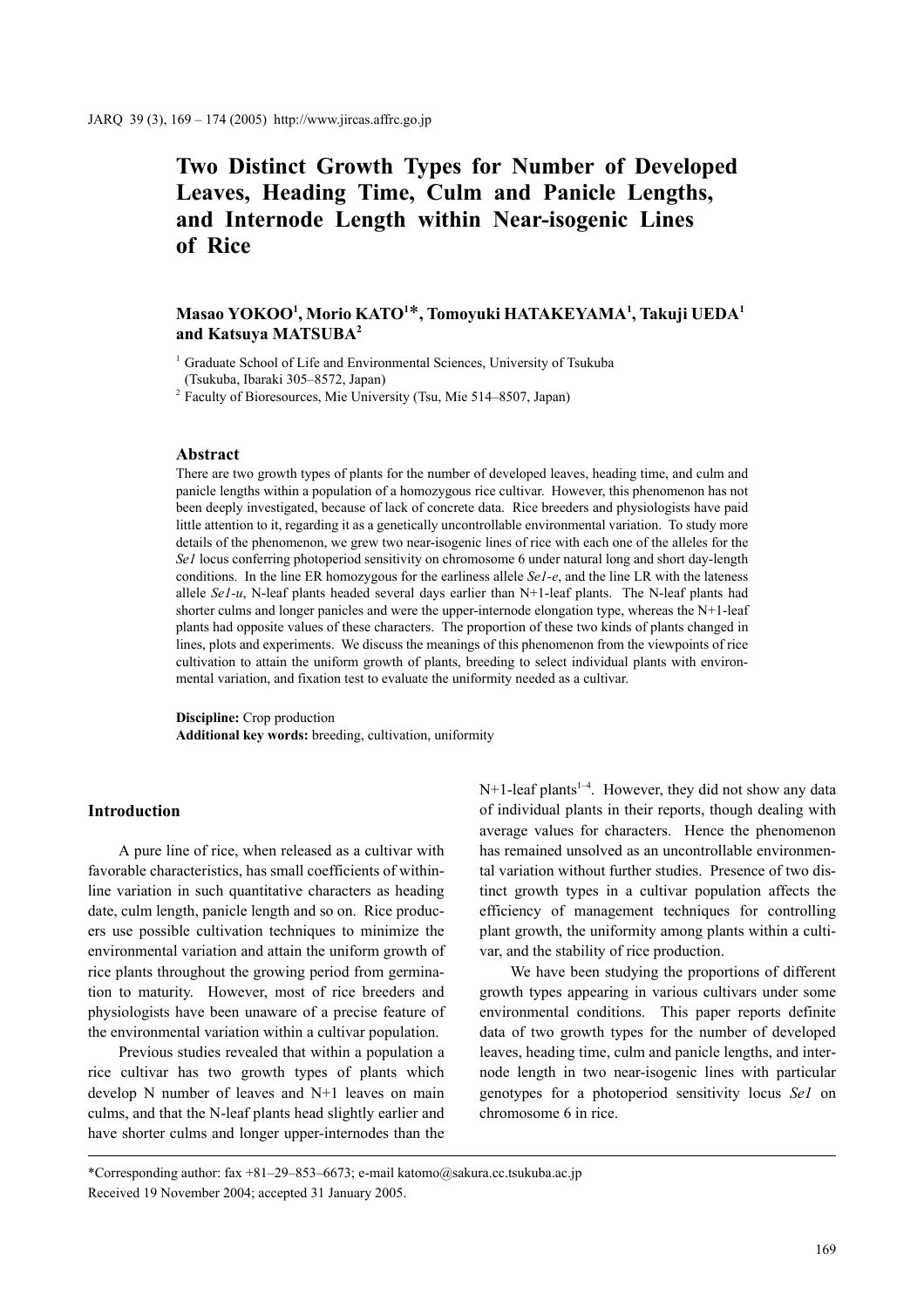# **Two Distinct Growth Types for Number of Developed Leaves, Heading Time, Culm and Panicle Lengths, and Internode Length within Near-isogenic Lines of Rice**

## **Masao YOKOO1 , Morio KATO1** \***, Tomoyuki HATAKEYAMA1 , Takuji UEDA1 and Katsuya MATSUBA2**

<sup>1</sup> Graduate School of Life and Environmental Sciences, University of Tsukuba (Tsukuba, Ibaraki 305–8572, Japan)

<sup>2</sup> Faculty of Bioresources, Mie University (Tsu, Mie 514–8507, Japan)

## **Abstract**

There are two growth types of plants for the number of developed leaves, heading time, and culm and panicle lengths within a population of a homozygous rice cultivar. However, this phenomenon has not been deeply investigated, because of lack of concrete data. Rice breeders and physiologists have paid little attention to it, regarding it as a genetically uncontrollable environmental variation. To study more details of the phenomenon, we grew two near-isogenic lines of rice with each one of the alleles for the *Se1* locus conferring photoperiod sensitivity on chromosome 6 under natural long and short day-length conditions. In the line ER homozygous for the earliness allele *Se1-e*, and the line LR with the lateness allele *Se1-u*, N-leaf plants headed several days earlier than N+1-leaf plants. The N-leaf plants had shorter culms and longer panicles and were the upper-internode elongation type, whereas the N+1-leaf plants had opposite values of these characters. The proportion of these two kinds of plants changed in lines, plots and experiments. We discuss the meanings of this phenomenon from the viewpoints of rice cultivation to attain the uniform growth of plants, breeding to select individual plants with environmental variation, and fixation test to evaluate the uniformity needed as a cultivar.

**Discipline:** Crop production **Additional key words:** breeding, cultivation, uniformity

## **Introduction**

A pure line of rice, when released as a cultivar with favorable characteristics, has small coefficients of withinline variation in such quantitative characters as heading date, culm length, panicle length and so on. Rice producers use possible cultivation techniques to minimize the environmental variation and attain the uniform growth of rice plants throughout the growing period from germination to maturity. However, most of rice breeders and physiologists have been unaware of a precise feature of the environmental variation within a cultivar population.

Previous studies revealed that within a population a rice cultivar has two growth types of plants which develop N number of leaves and N+1 leaves on main culms, and that the N-leaf plants head slightly earlier and have shorter culms and longer upper-internodes than the N+1-leaf plants<sup>1-4</sup>. However, they did not show any data of individual plants in their reports, though dealing with average values for characters. Hence the phenomenon has remained unsolved as an uncontrollable environmental variation without further studies. Presence of two distinct growth types in a cultivar population affects the efficiency of management techniques for controlling plant growth, the uniformity among plants within a cultivar, and the stability of rice production.

We have been studying the proportions of different growth types appearing in various cultivars under some environmental conditions. This paper reports definite data of two growth types for the number of developed leaves, heading time, culm and panicle lengths, and internode length in two near-isogenic lines with particular genotypes for a photoperiod sensitivity locus *Se1* on chromosome 6 in rice.

\*Corresponding author: fax +81–29–853–6673; e-mail katomo@sakura.cc.tsukuba.ac.jp Received 19 November 2004; accepted 31 January 2005.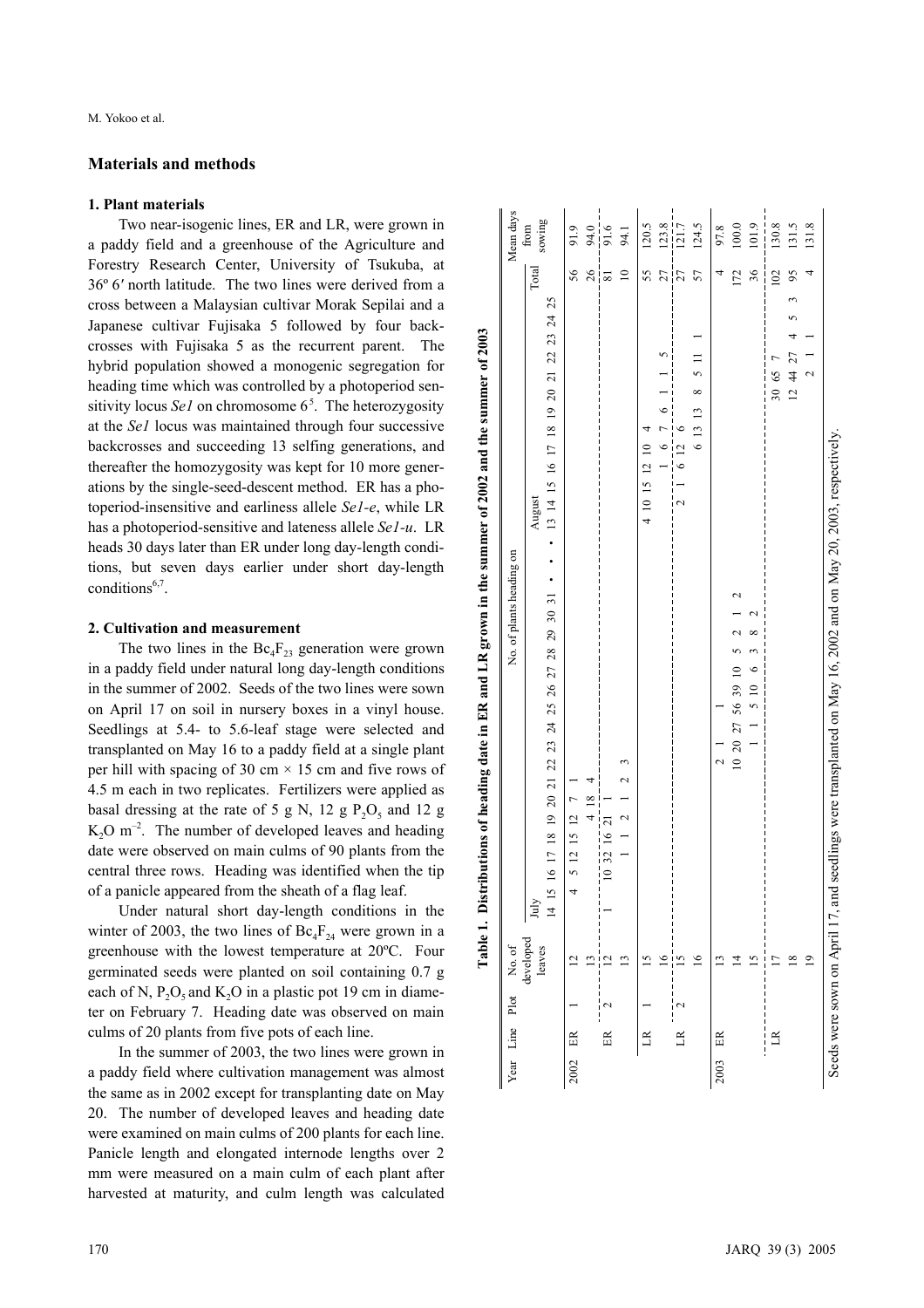### **Materials and methods**

#### **1. Plant materials**

Two near-isogenic lines, ER and LR, were grown in a paddy field and a greenhouse of the Agriculture and Forestry Research Center, University of Tsukuba, at 36º 6 *'* north latitude. The two lines were derived from a cross between a Malaysian cultivar Morak Sepilai and a Japanese cultivar Fujisaka 5 followed by four backcrosses with Fujisaka 5 as the recurrent parent. The hybrid population showed a monogenic segregation for heading time which was controlled by a photoperiod sensitivity locus *Sel* on chromosome 6<sup>5</sup>. The heterozygosity at the *Se1* locus was maintained through four successive backcrosses and succeeding 13 selfing generations, and thereafter the homozygosity was kept for 10 more generations by the single-seed-descent method. ER has a photoperiod-insensitive and earliness allele *Se1-e*, while LR has a photoperiod-sensitive and lateness allele *Se1-u*. LR heads 30 days later than ER under long day-length conditions, but seven days earlier under short day-length conditions<sup>6,7</sup>.

## **2. Cultivation and measurement**

The two lines in the  $\text{Bc}_4\text{F}_{23}$  generation were grown in a paddy field under natural long day-length conditions in the summer of 2002. Seeds of the two lines were sown on April 17 on soil in nursery boxes in a vinyl house. Seedlings at 5.4- to 5.6-leaf stage were selected and transplanted on May 16 to a paddy field at a single plant per hill with spacing of 30 cm  $\times$  15 cm and five rows of 4.5 m each in two replicates. Fertilizers were applied as basal dressing at the rate of 5 g N, 12 g  $P_2O_5$  and 12 g  $K_2O$  m<sup>-2</sup>. The number of developed leaves and heading date were observed on main culms of 90 plants from the central three rows. Heading was identified when the tip of a panicle appeared from the sheath of a flag leaf.

Under natural short day-length conditions in the winter of 2003, the two lines of  $\text{Bc}_4\text{F}_{24}$  were grown in a greenhouse with the lowest temperature at 20ºC. Four germinated seeds were planted on soil containing 0.7 g each of N,  $P_2O_5$  and  $K_2O$  in a plastic pot 19 cm in diameter on February 7. Heading date was observed on main culms of 20 plants from five pots of each line.

In the summer of 2003, the two lines were grown in a paddy field where cultivation management was almost the same as in 2002 except for transplanting date on May 20. The number of developed leaves and heading date were examined on main culms of 200 plants for each line. Panicle length and elongated internode lengths over 2 mm were measured on a main culm of each plant after harvested at maturity, and culm length was calculated

|      |              |   | Year Line Plot No. of | No. of plants heading on                                                                                                                         |                         | Mean days      |
|------|--------------|---|-----------------------|--------------------------------------------------------------------------------------------------------------------------------------------------|-------------------------|----------------|
|      |              |   | developed<br>leaves   | $\div$ 13 14 15 16 17 18 19 20 21 22 23 24 25<br>August<br>15 16 17 18 19 20 21 22 23 24 25 26 27 28 29 30 31<br>$_{\rm July}$<br>$\overline{4}$ | Total                   | sowing<br>from |
| 2002 | $\mathbb{E}$ |   |                       | 4 5 12 15 12 7                                                                                                                                   | 56                      | 91.9           |
|      |              |   |                       | $4\overline{18}$                                                                                                                                 | 26                      |                |
|      | 臣            |   |                       | 10 32 16 21                                                                                                                                      | $\overline{\mathbf{s}}$ | $94.0$<br>91.6 |
|      |              |   |                       | $\overline{\phantom{0}}$                                                                                                                         | $\supseteq$             | 94.1           |
|      | $\mathbb{R}$ |   | 51                    | 4 10 15 12 10                                                                                                                                    | 55                      | 120.5          |
|      |              |   | $\frac{6}{2}$         | $1 \t6 \t7 \t6$                                                                                                                                  | 27                      | 123.8          |
|      | $\mathbb{R}$ | Z | 15                    | 6126<br>$\overline{\mathcal{L}}$                                                                                                                 | 27                      | 121.7          |
|      |              |   | $\geq$                | $\frac{5}{11}$<br>6 13 13 8                                                                                                                      | 57                      | 124.5          |
| 2003 | 臣            |   |                       | $\mathbf{\Omega}$                                                                                                                                | 4                       | 97.8           |
|      |              |   | ᅼ                     | 2<br>$\sim$<br>10 20 27 56 39 10 5                                                                                                               | 172                     | $100.0$        |
|      |              |   | 51                    | $\tilde{f}$<br>$\ddot{\phantom{0}}$<br>$1 \t1 \t5 \t10$                                                                                          | 36                      | 101.9          |
|      | $\mathbb{R}$ |   |                       | 30 65 7                                                                                                                                          | 102                     | 130.8          |
|      |              |   | $\overline{18}$       | 124427                                                                                                                                           | $\mathcal{S}$           | 131.5          |
|      |              |   | $\overline{9}$        | $\sim$                                                                                                                                           |                         | 131.8          |
|      |              |   |                       | Seeds were sown on April 17, and seedlings were transplanted on May 16, 2002 and on May 20, 2003, respectively                                   |                         |                |

able 1. Distributions of heading date in ER and LR grown in the summer of 2002 and the summer of 2003 **Table 1. Distributions of heading date in ER and LR grown in the summer of 2002 and the summer of 2003**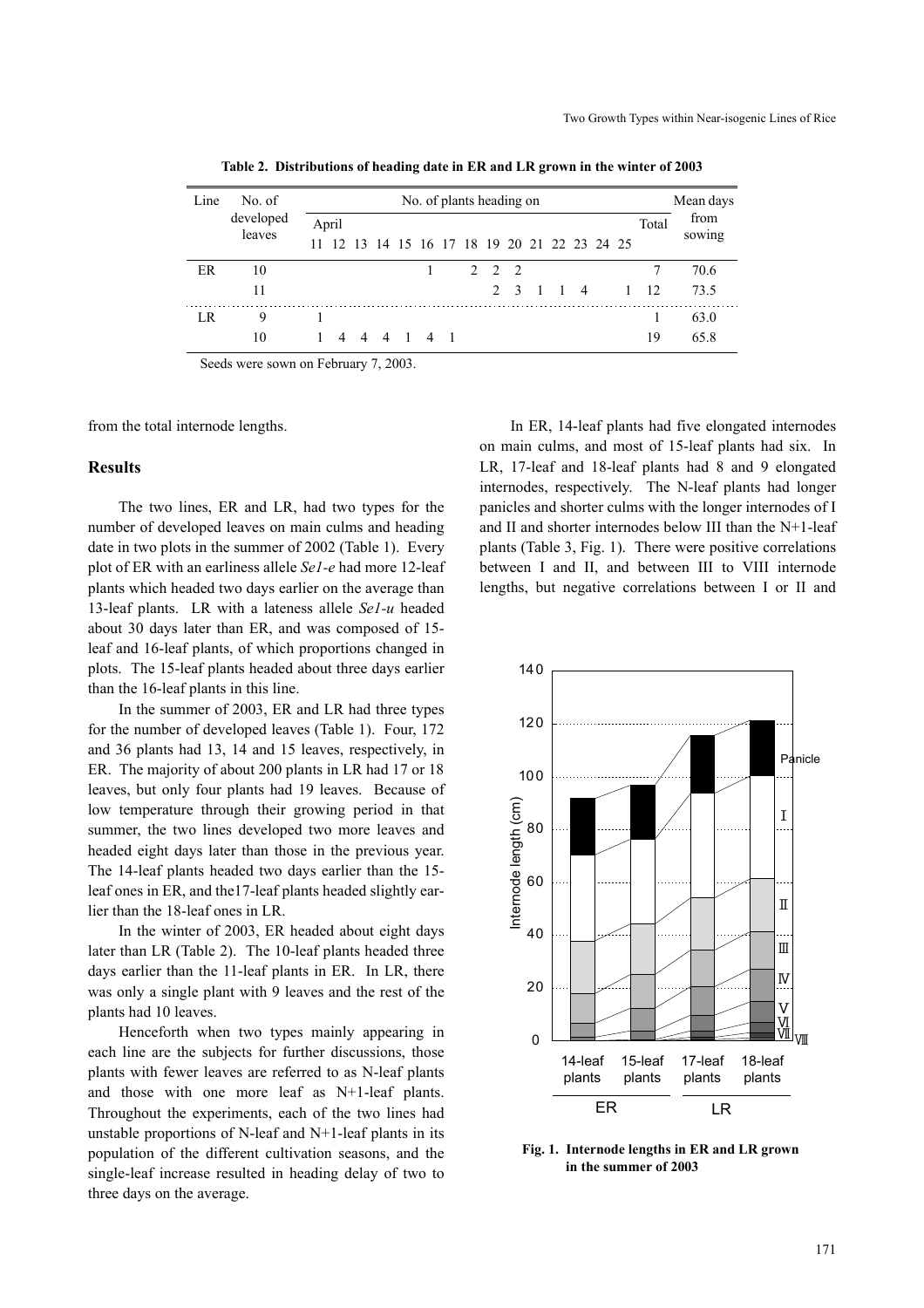| Line | No. of    |       | No. of plants heading on |  |                                           |  |  |                          |  |       |                  |               |  |                | Mean days |       |        |
|------|-----------|-------|--------------------------|--|-------------------------------------------|--|--|--------------------------|--|-------|------------------|---------------|--|----------------|-----------|-------|--------|
|      | developed | April |                          |  |                                           |  |  |                          |  |       |                  |               |  |                |           | Total | from   |
|      | leaves    | 11    |                          |  | 12 13 14 15 16 17 18 19 20 21 22 23 24 25 |  |  |                          |  |       |                  |               |  |                |           |       | sowing |
| ER   | 10        |       |                          |  |                                           |  |  |                          |  | 2 2 2 |                  |               |  |                |           |       | 70.6   |
|      | 11        |       |                          |  |                                           |  |  |                          |  |       | $2 \overline{3}$ | $\frac{1}{1}$ |  | $\overline{4}$ |           | 12    | 73.5   |
| LR   | 9         |       |                          |  |                                           |  |  |                          |  |       |                  |               |  |                |           |       | 63.0   |
|      | 10        |       |                          |  | 4 4 4 1 4                                 |  |  | $\overline{\phantom{0}}$ |  |       |                  |               |  |                |           | 19    | 65.8   |

**Table 2. Distributions of heading date in ER and LR grown in the winter of 2003**

Seeds were sown on February 7, 2003.

from the total internode lengths.

## **Results**

The two lines, ER and LR, had two types for the number of developed leaves on main culms and heading date in two plots in the summer of 2002 (Table 1). Every plot of ER with an earliness allele *Se1-e* had more 12-leaf plants which headed two days earlier on the average than 13-leaf plants. LR with a lateness allele *Se1-u* headed about 30 days later than ER, and was composed of 15 leaf and 16-leaf plants, of which proportions changed in plots. The 15-leaf plants headed about three days earlier than the 16-leaf plants in this line.

In the summer of 2003, ER and LR had three types for the number of developed leaves (Table 1). Four, 172 and 36 plants had 13, 14 and 15 leaves, respectively, in ER. The majority of about 200 plants in LR had 17 or 18 leaves, but only four plants had 19 leaves. Because of low temperature through their growing period in that summer, the two lines developed two more leaves and headed eight days later than those in the previous year. The 14-leaf plants headed two days earlier than the 15 leaf ones in ER, and the17-leaf plants headed slightly earlier than the 18-leaf ones in LR.

In the winter of 2003, ER headed about eight days later than LR (Table 2). The 10-leaf plants headed three days earlier than the 11-leaf plants in ER. In LR, there was only a single plant with 9 leaves and the rest of the plants had 10 leaves.

Henceforth when two types mainly appearing in each line are the subjects for further discussions, those plants with fewer leaves are referred to as N-leaf plants and those with one more leaf as N+1-leaf plants. Throughout the experiments, each of the two lines had unstable proportions of N-leaf and N+1-leaf plants in its population of the different cultivation seasons, and the single-leaf increase resulted in heading delay of two to three days on the average.

In ER, 14-leaf plants had five elongated internodes on main culms, and most of 15-leaf plants had six. In LR, 17-leaf and 18-leaf plants had 8 and 9 elongated internodes, respectively. The N-leaf plants had longer panicles and shorter culms with the longer internodes of I and II and shorter internodes below III than the N+1-leaf plants (Table 3, Fig. 1). There were positive correlations between I and II, and between III to VIII internode lengths, but negative correlations between I or II and



**Fig. 1. Internode lengths in ER and LR grown in the summer of 2003**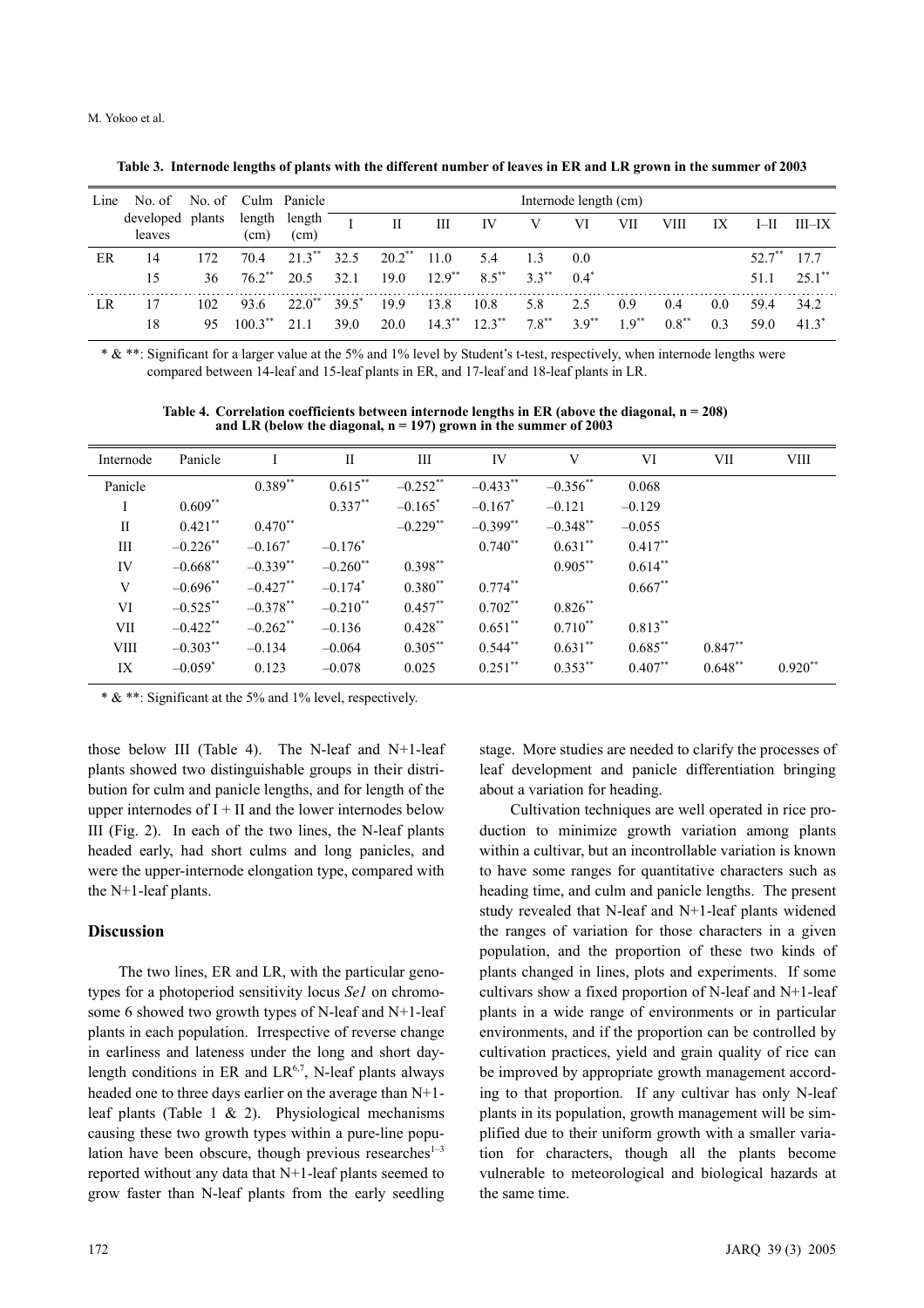| Line | No. of No. of Culm Panicle |        |                      |                       |          |                      |                      |           |          | Internode length (cm) |           |          |                |           |            |
|------|----------------------------|--------|----------------------|-----------------------|----------|----------------------|----------------------|-----------|----------|-----------------------|-----------|----------|----------------|-----------|------------|
|      | developed<br>leaves        | plants | (cm)                 | length length<br>(cm) |          | Н                    | Ш                    | IV        | V        | VI                    | VІІ       | VIII     | IX             | $I$ -II   | $III$ $-X$ |
| ER   | 14                         | 172.   | 704                  | $21.3***$             | 32.5     | $20.2$ <sup>**</sup> | 11.0                 | 5.4       | 13       | 0.0                   |           |          |                | $52.7***$ | 177        |
|      | 15                         | 36     | $76.2$ <sup>**</sup> | 20.5                  | 32.1     | 19.0                 | $12.9$ <sup>**</sup> | $8.5***$  | $33**$   | 0.4"                  |           |          |                | 511       | $25.1$ **  |
| LR.  | 17                         | 102    | 93.6                 | $22.0^{**}$           | $39.5^*$ | 19.9                 | 13.8                 | 10.8      | 5.8      | 2.5                   | 0.9       | 0.4      | 0.0            | 59.4      | 34.2       |
|      | 18                         | 95     | $1003**$             | 21 1                  | 39 O     | 20.0                 | $14.3***$            | $12.3***$ | $7.8***$ | $39**$                | $19^{**}$ | $0.8***$ | 0 <sup>3</sup> | 59 O      | 41.3"      |

**Table 3. Internode lengths of plants with the different number of leaves in ER and LR grown in the summer of 2003**

\* & \*\*: Significant for a larger value at the 5% and 1% level by Student's t-test, respectively, when internode lengths were compared between 14-leaf and 15-leaf plants in ER, and 17-leaf and 18-leaf plants in LR.

**Table 4. Correlation coefficients between internode lengths in ER (above the diagonal, n = 208) and LR (below the diagonal, n = 197) grown in the summer of 2003**

| Internode    | Panicle     |             | П                      | Ш           | IV                     | V          | VI         | VII       | <b>VIII</b> |
|--------------|-------------|-------------|------------------------|-------------|------------------------|------------|------------|-----------|-------------|
| Panicle      |             | $0.389**$   | $0.615***$             | $-0.252**$  | $-0.433$ **            | $-0.356**$ | 0.068      |           |             |
| I            | $0.609**$   |             | $0.337**$              | $-0.165^*$  | $-0.167$ *             | $-0.121$   | $-0.129$   |           |             |
| $\mathbf{I}$ | $0.421***$  | $0.470**$   |                        | $-0.229$ ** | $-0.399$ <sup>**</sup> | $-0.348**$ | $-0.055$   |           |             |
| Ш            | $-0.226$ ** | $-0.167^*$  | $-0.176*$              |             | $0.740**$              | $0.631**$  | $0.417**$  |           |             |
| IV           | $-0.668$ ** | $-0.339**$  | $-0.260$ <sup>**</sup> | $0.398**$   |                        | $0.905***$ | $0.614**$  |           |             |
| V            | $-0.696$ ** | $-0.427**$  | $-0.174$ <sup>*</sup>  | $0.380**$   | $0.774**$              |            | $0.667**$  |           |             |
| VI           | $-0.525$ ** | $-0.378**$  | $-0.210**$             | $0.457**$   | $0.702**$              | $0.826**$  |            |           |             |
| VII          | $-0.422$ ** | $-0.262$ ** | $-0.136$               | $0.428***$  | $0.651$ **             | $0.710**$  | $0.813***$ |           |             |
| <b>VIII</b>  | $-0.303***$ | $-0.134$    | $-0.064$               | $0.305***$  | $0.544***$             | $0.631***$ | $0.685***$ | $0.847**$ |             |
| IX           | $-0.059^*$  | 0.123       | $-0.078$               | 0.025       | $0.251$ **             | $0.353***$ | $0.407**$  | $0.648**$ | $0.920**$   |

\* & \*\*: Significant at the 5% and 1% level, respectively.

those below III (Table 4). The N-leaf and N+1-leaf plants showed two distinguishable groups in their distribution for culm and panicle lengths, and for length of the upper internodes of  $I + II$  and the lower internodes below III (Fig. 2). In each of the two lines, the N-leaf plants headed early, had short culms and long panicles, and were the upper-internode elongation type, compared with the N+1-leaf plants.

## **Discussion**

The two lines, ER and LR, with the particular genotypes for a photoperiod sensitivity locus *Se1* on chromosome 6 showed two growth types of N-leaf and N+1-leaf plants in each population. Irrespective of reverse change in earliness and lateness under the long and short daylength conditions in ER and  $LR^{6,7}$ , N-leaf plants always headed one to three days earlier on the average than N+1 leaf plants (Table 1 & 2). Physiological mechanisms causing these two growth types within a pure-line population have been obscure, though previous researches $1-3$ reported without any data that N+1-leaf plants seemed to grow faster than N-leaf plants from the early seedling stage. More studies are needed to clarify the processes of leaf development and panicle differentiation bringing about a variation for heading.

Cultivation techniques are well operated in rice production to minimize growth variation among plants within a cultivar, but an incontrollable variation is known to have some ranges for quantitative characters such as heading time, and culm and panicle lengths. The present study revealed that N-leaf and N+1-leaf plants widened the ranges of variation for those characters in a given population, and the proportion of these two kinds of plants changed in lines, plots and experiments. If some cultivars show a fixed proportion of N-leaf and N+1-leaf plants in a wide range of environments or in particular environments, and if the proportion can be controlled by cultivation practices, yield and grain quality of rice can be improved by appropriate growth management according to that proportion. If any cultivar has only N-leaf plants in its population, growth management will be simplified due to their uniform growth with a smaller variation for characters, though all the plants become vulnerable to meteorological and biological hazards at the same time.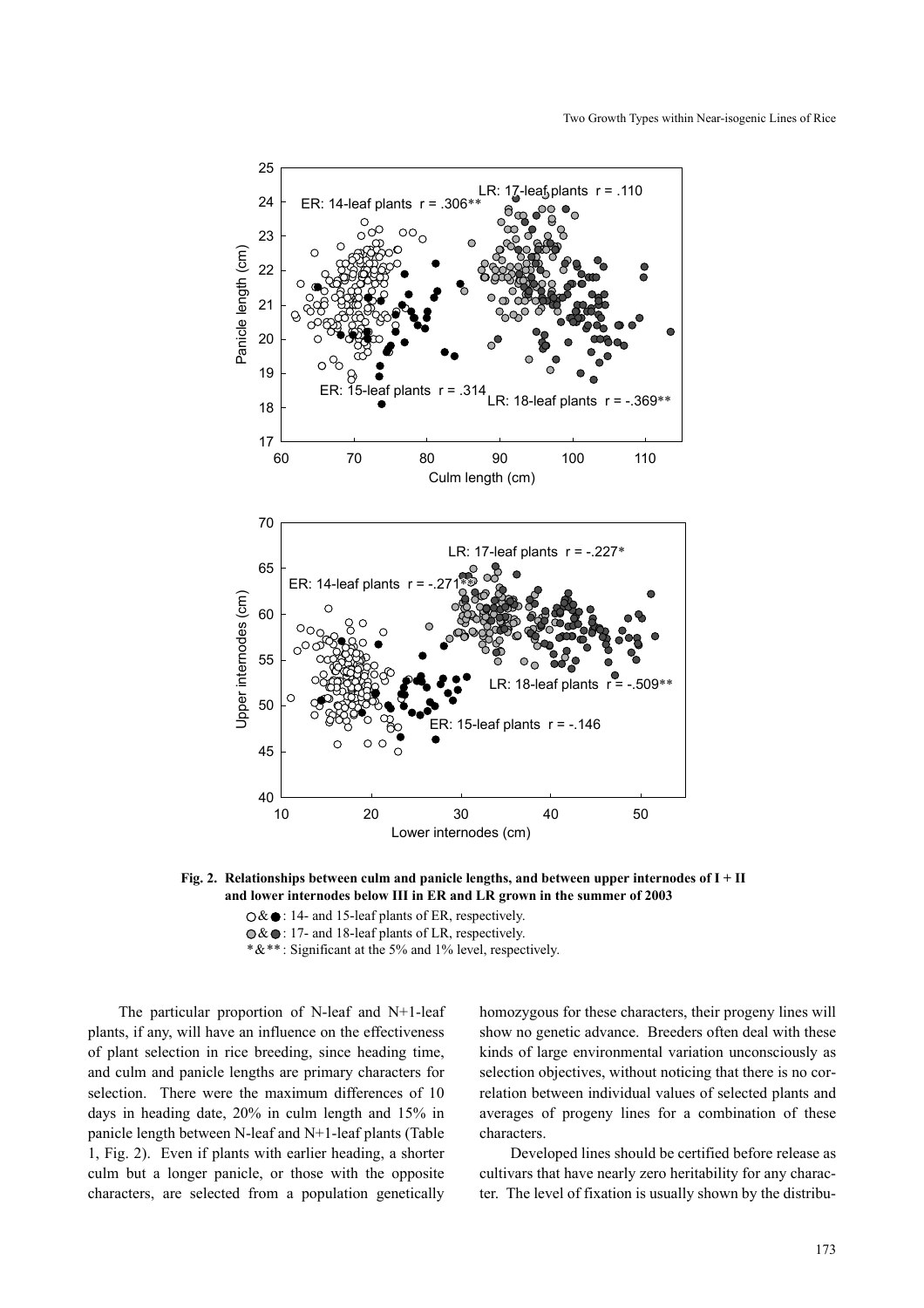

**Fig. 2. Relationships between culm and panicle lengths, and between upper internodes of I + II and lower internodes below III in ER and LR grown in the summer of 2003**

 $\bigcirc$  & ● : 14- and 15-leaf plants of ER, respectively.

 $\odot \& \odot$ : 17- and 18-leaf plants of LR, respectively.

\*&\*\* : Significant at the 5% and 1% level, respectively.

The particular proportion of N-leaf and N+1-leaf plants, if any, will have an influence on the effectiveness of plant selection in rice breeding, since heading time, and culm and panicle lengths are primary characters for selection. There were the maximum differences of 10 days in heading date, 20% in culm length and 15% in panicle length between N-leaf and N+1-leaf plants (Table 1, Fig. 2). Even if plants with earlier heading, a shorter culm but a longer panicle, or those with the opposite characters, are selected from a population genetically homozygous for these characters, their progeny lines will show no genetic advance. Breeders often deal with these kinds of large environmental variation unconsciously as selection objectives, without noticing that there is no correlation between individual values of selected plants and averages of progeny lines for a combination of these characters.

Developed lines should be certified before release as cultivars that have nearly zero heritability for any character. The level of fixation is usually shown by the distribu